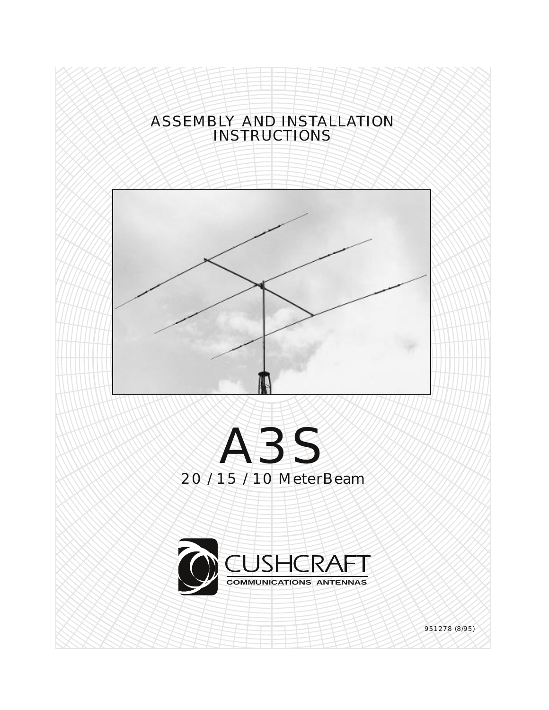## ASSEMBLY AND INSTALLATION INSTRUCTIONS







951278 (8/95)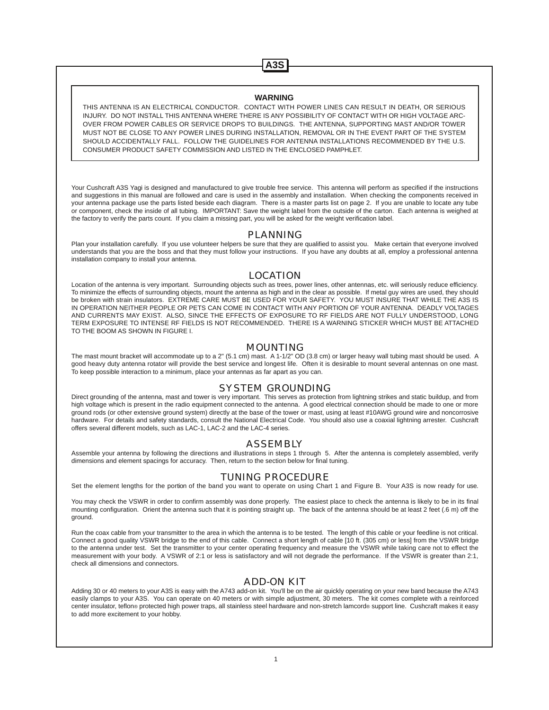### **A3S**

#### **WARNING**

THIS ANTENNA IS AN ELECTRICAL CONDUCTOR. CONTACT WITH POWER LINES CAN RESULT IN DEATH, OR SERIOUS INJURY. DO NOT INSTALL THIS ANTENNA WHERE THERE IS ANY POSSIBILITY OF CONTACT WITH OR HIGH VOLTAGE ARC-OVER FROM POWER CABLES OR SERVICE DROPS TO BUILDINGS. THE ANTENNA, SUPPORTING MAST AND/OR TOWER MUST NOT BE CLOSE TO ANY POWER LINES DURING INSTALLATION, REMOVAL OR IN THE EVENT PART OF THE SYSTEM SHOULD ACCIDENTALLY FALL. FOLLOW THE GUIDELINES FOR ANTENNA INSTALLATIONS RECOMMENDED BY THE U.S. CONSUMER PRODUCT SAFETY COMMISSION AND LISTED IN THE ENCLOSED PAMPHLET.

Your Cushcraft A3S Yagi is designed and manufactured to give trouble free service. This antenna will perform as specified if the instructions and suggestions in this manual are followed and care is used in the assembly and installation. When checking the components received in your antenna package use the parts listed beside each diagram. There is a master parts list on page 2. If you are unable to locate any tube or component, check the inside of all tubing. IMPORTANT: Save the weight label from the outside of the carton. Each antenna is weighed at the factory to verify the parts count. If you claim a missing part, you will be asked for the weight verification label.

#### PLANNING

Plan your installation carefully. If you use volunteer helpers be sure that they are qualified to assist you. Make certain that everyone involved understands that you are the boss and that they must follow your instructions. If you have any doubts at all, employ a professional antenna installation company to install your antenna.

#### LOCATION

Location of the antenna is very important. Surrounding objects such as trees, power lines, other antennas, etc. will seriously reduce efficiency. To minimize the effects of surrounding objects, mount the antenna as high and in the clear as possible. If metal guy wires are used, they should be broken with strain insulators. EXTREME CARE MUST BE USED FOR YOUR SAFETY. YOU MUST INSURE THAT WHILE THE A3S IS IN OPERATION NEITHER PEOPLE OR PETS CAN COME IN CONTACT WITH ANY PORTION OF YOUR ANTENNA. DEADLY VOLTAGES AND CURRENTS MAY EXIST. ALSO, SINCE THE EFFECTS OF EXPOSURE TO RF FIELDS ARE NOT FULLY UNDERSTOOD, LONG TERM EXPOSURE TO INTENSE RF FIELDS IS NOT RECOMMENDED. THERE IS A WARNING STICKER WHICH MUST BE ATTACHED TO THE BOOM AS SHOWN IN FIGURE I.

### MOUNTING

The mast mount bracket will accommodate up to a 2" (5.1 cm) mast. A 1-1/2" OD (3.8 cm) or larger heavy wall tubing mast should be used. A good heavy duty antenna rotator will provide the best service and longest life. Often it is desirable to mount several antennas on one mast. To keep possible interaction to a minimum, place your antennas as far apart as you can.

### SYSTEM GROUNDING

Direct grounding of the antenna, mast and tower is very important. This serves as protection from lightning strikes and static buildup, and from high voltage which is present in the radio equipment connected to the antenna. A good electrical connection should be made to one or more ground rods (or other extensive ground system) directly at the base of the tower or mast, using at least #10AWG ground wire and noncorrosive hardware. For details and safety standards, consult the National Electrical Code. You should also use a coaxial lightning arrester. Cushcraft offers several different models, such as LAC-1, LAC-2 and the LAC-4 series.

### **ASSEMBLY**

Assemble your antenna by following the directions and illustrations in steps 1 through 5. After the antenna is completely assembled, verify dimensions and element spacings for accuracy. Then, return to the section below for final tuning.

### TUNING PROCEDURE

Set the element lengths for the portion of the band you want to operate on using Chart 1 and Figure B. Your A3S is now ready for use.

You may check the VSWR in order to confirm assembly was done properly. The easiest place to check the antenna is likely to be in its final mounting configuration. Orient the antenna such that it is pointing straight up. The back of the antenna should be at least 2 feet (.6 m) off the ground.

Run the coax cable from your transmitter to the area in which the antenna is to be tested. The length of this cable or your feedline is not critical. Connect a good quality VSWR bridge to the end of this cable. Connect a short length of cable [10 ft. (305 cm) or less] from the VSWR bridge to the antenna under test. Set the transmitter to your center operating frequency and measure the VSWR while taking care not to effect the measurement with your body. A VSWR of 2:1 or less is satisfactory and will not degrade the performance. If the VSWR is greater than 2:1, check all dimensions and connectors.

### ADD-ON KIT

Adding 30 or 40 meters to your A3S is easy with the A743 add-on kit. You'll be on the air quickly operating on your new band because the A743 easily clamps to your A3S. You can operate on 40 meters or with simple adjustment, 30 meters. The kit comes complete with a reinforced center insulator, teflon® protected high power traps, all stainless steel hardware and non-stretch lamcord® support line. Cushcraft makes it easy to add more excitement to your hobby.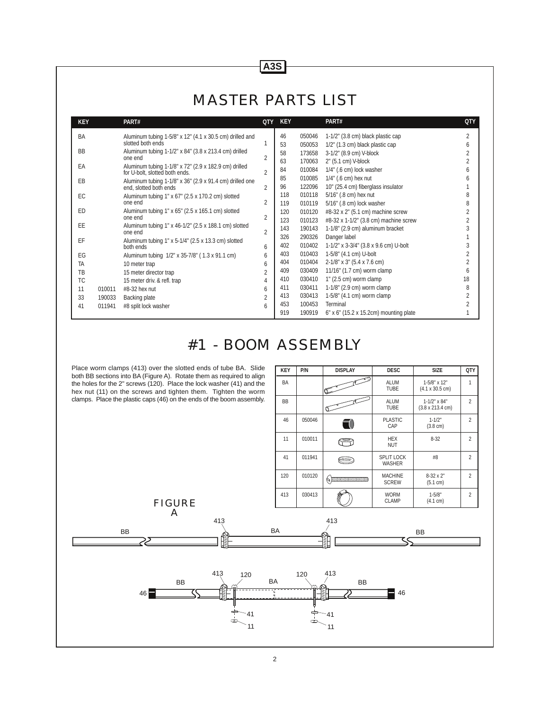## MASTER PARTS LIST

**A3S**

| <b>KEY</b>   | PART#                                                            | <b>QTY</b>     | <b>KEY</b> |        | PART#                                      | <b>QTY</b> |
|--------------|------------------------------------------------------------------|----------------|------------|--------|--------------------------------------------|------------|
| BA           | Aluminum tubing $1-5/8$ " x $12$ " (4.1 x 30.5 cm) drilled and   |                | 46         | 050046 | 1-1/2" (3.8 cm) black plastic cap          |            |
|              | slotted both ends                                                |                | 53         | 050053 | 1/2" (1.3 cm) black plastic cap            |            |
| <b>BB</b>    | Aluminum tubing 1-1/2" x 84" (3.8 x 213.4 cm) drilled<br>one end | $\overline{2}$ | 58         | 173658 | 3-1/2" (8.9 cm) V-block                    |            |
| EA           | Aluminum tubing 1-1/8" x 72" (2.9 x 182.9 cm) drilled            |                | 63         | 170063 | 2" (5.1 cm) V-block                        |            |
|              | for U-bolt, slotted both ends.                                   | $\overline{2}$ | 84         | 010084 | 1/4" (.6 cm) lock washer                   | n          |
| EB           | Aluminum tubing 1-1/8" x 36" (2.9 x 91.4 cm) drilled one         |                | 85         | 010085 | $1/4$ " (.6 cm) hex nut                    |            |
|              | end, slotted both ends                                           | $\overline{2}$ | 96         | 122096 | 10" (25.4 cm) fiberglass insulator         |            |
| EC           | Aluminum tubing $1" \times 67"$ (2.5 x 170.2 cm) slotted         |                | 118        | 010118 | 5/16" (.8 cm) hex nut                      | 8          |
|              | one end                                                          | $\overline{2}$ | 119        | 010119 | 5/16" (.8 cm) lock washer                  | 8          |
| ED           | Aluminum tubing $1" \times 65"$ (2.5 $\times$ 165.1 cm) slotted  |                | 120        | 010120 | #8-32 x 2" (5.1 cm) machine screw          |            |
|              | one end                                                          | $\overline{2}$ | 123        | 010123 | #8-32 x 1-1/2" (3.8 cm) machine screw      |            |
| EE           | Aluminum tubing 1" x 46-1/2" (2.5 x 188.1 cm) slotted<br>one end | $\overline{2}$ | 143        | 190143 | 1-1/8" (2.9 cm) aluminum bracket           |            |
| EF           | Aluminum tubing 1" x 5-1/4" (2.5 x 13.3 cm) slotted              |                | 326        | 290326 | Danger label                               |            |
|              | both ends                                                        | 6              | 402        | 010402 | 1-1/2" x 3-3/4" (3.8 x 9.6 cm) U-bolt      |            |
| EG           | Aluminum tubing 1/2" x 35-7/8" (1.3 x 91.1 cm)                   | 6              | 403        | 010403 | 1-5/8" (4.1 cm) U-bolt                     |            |
| TA           | 10 meter trap                                                    | 6              | 404        | 010404 | 2-1/8" x 3" (5.4 x 7.6 cm)                 |            |
| TB           | 15 meter director trap                                           | $\overline{2}$ | 409        | 030409 | 11/16" (1.7 cm) worm clamp                 | h          |
| <b>TC</b>    | 15 meter driv. & refl. trap                                      | 4              | 410        | 030410 | $1"$ (2.5 cm) worm clamp                   | 18         |
| 11<br>010011 | #8-32 hex nut                                                    | 6              | 411        | 030411 | 1-1/8" (2.9 cm) worm clamp                 | 8          |
| 33<br>190033 | Backing plate                                                    | $\overline{2}$ | 413        | 030413 | 1-5/8" (4.1 cm) worm clamp                 |            |
| 41<br>011941 | #8 split lock washer                                             | 6              | 453        | 100453 | Terminal                                   |            |
|              |                                                                  |                | 919        | 190919 | $6"$ x $6"$ (15.2 x 15.2cm) mounting plate |            |

## #1 - BOOM ASSEMBLY

Place worm clamps (413) over the slotted ends of tube BA. Slide both BB sections into BA (Figure A). Rotate them as required to align the holes for the 2" screws (120). Place the lock washer (41) and the hex nut (11) on the screws and tighten them. Tighten the worm clamps. Place the plastic caps (46) on the ends of the boom assembly.

| <b>KEY</b> | P/N    | <b>DISPLAY</b> | <b>DESC</b>                        | <b>SIZE</b>                                              | <b>QTY</b>     |
|------------|--------|----------------|------------------------------------|----------------------------------------------------------|----------------|
| BA         |        |                | <b>ALUM</b><br><b>TUBE</b>         | 1-5/8" x 12"<br>$(4.1 \times 30.5 \text{ cm})$           | 1              |
| BB         |        |                | <b>ALUM</b><br><b>TUBE</b>         | $1 - 1/2" \times 84"$<br>$(3.8 \times 213.4 \text{ cm})$ | $\mathfrak{p}$ |
| 46         | 050046 |                | <b>PLASTIC</b><br>CAP              | $1 - 1/2"$<br>$(3.8 \text{ cm})$                         | $\mathfrak{p}$ |
| 11         | 010011 |                | <b>HEX</b><br>NUT                  | $8 - 32$                                                 | $\mathfrak{p}$ |
| 41         | 011941 |                | <b>SPLIT LOCK</b><br><b>WASHER</b> | #8                                                       | $\overline{2}$ |
| 120        | 010120 |                | <b>MACHINE</b><br><b>SCREW</b>     | $8-32 \times 2"$<br>(5.1 cm)                             | $\overline{2}$ |
| 413        | 030413 |                | <b>WORM</b><br><b>CLAMP</b>        | $1 - 5/8"$<br>(4.1 cm)                                   | $\mathfrak{p}$ |

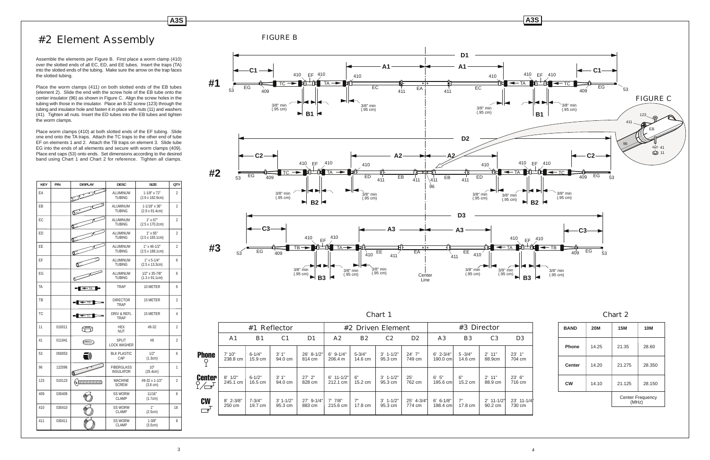Assemble the elements per Figure B. First place a worm clamp (410) over the slotted ends of all EC, ED, and EE tubes. Insert the traps (TA) into the slotted ends of the tubing. Make sure the arrow on the trap faces the slotted tubing.

Place worm clamps (410) at both slotted ends of the EF tubing. Slide one end onto the TA traps. Attach the TC traps to the other end of tube EF on elements 1 and 2. Attach the TB traps on element 3. Slide tube EG into the ends of all elements and secure with worm clamps (409). Place end caps (53) onto ends. Set dimensions according to the desired band using Chart 1 and Chart 2 for reference. Tighten all clamps.

Place the worm clamps (411) on both slotted ends of the EB tubes (element 2). Slide the end with the screw hole of the EB tube onto the center insulator (96) as shown in Figure C. Align the screw holes in the tubing with those in the insulator. Place an 8-32 screw (123) through the tubing and insulator hole and fasten it in place with nuts (11) and washers (41). Tighten all nuts. Insert the ED tubes into the EB tubes and tighten the worm clamps.

# #2 Element Assembly

### Chart 2



| <b>KEY</b> | P/N    | <b>DISPLAY</b>           | <b>DESC</b>                           | <b>SIZE</b>                                             | <b>QTY</b>     |
|------------|--------|--------------------------|---------------------------------------|---------------------------------------------------------|----------------|
| EA         |        |                          | <b>ALUMINUM</b><br><b>TUBING</b>      | 1-1/8" x 72"<br>$(2.9 \times 182.9$ cm)                 | 2              |
| EB         |        | a                        | ALUMINUM<br><b>TUBING</b>             | $1 - 1/18" \times 36"$<br>$(2.9 \times 91.4 \text{cm})$ | 2              |
| EC         |        |                          | <b>ALUMINUM</b><br><b>TUBING</b>      | $1"$ x $67"$<br>$(2.5 \times 170.2cm)$                  | $\overline{2}$ |
| ED         |        |                          | ALUMINUM<br><b>TUBING</b>             | $1"$ x $65"$<br>$(2.5 \times 165.1 \text{cm})$          | $\overline{2}$ |
| EE         |        | ű                        | ALUMINUM<br><b>TUBING</b>             | 1" x 46-1/2"<br>$(2.5 \times 188.1 \text{cm})$          | $\overline{2}$ |
| EF         |        |                          | <b>ALUMINUM</b><br><b>TUBING</b>      | $1"$ x 5-1/4"<br>$(2.5 \times 13.3 \text{cm})$          | 6              |
| EG         |        | б                        | <b>ALUMINUM</b><br><b>TUBING</b>      | 1/2" x 35-7/8"<br>$(1.3 \times 91.1 \text{cm})$         | 6              |
| TA         |        | · TA<br>Е                | <b>TRAP</b>                           | 10 METER                                                | 6              |
| TB         |        | $\overline{+}$ TB        | <b>DIRECTOR</b><br>TRAP               | 15 METER                                                | $\overline{2}$ |
| <b>TC</b>  |        | $\leftarrow$ TC          | <b>DRIV &amp; REFL</b><br>TRAP        | 15 METER                                                | 4              |
| 11         | 010011 |                          | <b>HEX</b><br><b>NUT</b>              | #8-32                                                   | $\overline{2}$ |
| 41         | 011941 |                          | <b>SPLIT</b><br><b>LOCK WASHER</b>    | #8                                                      | $\overline{2}$ |
| 53         | 050053 |                          | <b>BLK PLASTIC</b><br>CAP             | 1/2"<br>(1.3cm)                                         | 6              |
| 96         | 122096 | 0                        | <b>FIBERGLASS</b><br><b>INSULATOR</b> | 10"<br>(25.4cm)                                         | 1              |
| 123        | 010123 | $\overline{\phantom{a}}$ | <b>MACHINE</b><br><b>SCREW</b>        | #8-32 x 1-1/2"<br>$(3.8 \text{ cm})$                    | 2              |
| 409        | 030409 |                          | <b>SS WORM</b><br><b>CLAMP</b>        | 11/16"<br>(1.7cm)                                       | 6              |
| 410        | 030410 |                          | <b>SS WORM</b><br><b>CLAMP</b>        | 1"<br>(2.5cm)                                           | 18             |
| 411        | 030411 |                          | <b>SS WORM</b><br><b>CLAMP</b>        | $1 - 3/8"$<br>(3.5cm)                                   | 8              |

### FIGURE B



Chart 1

|                                     |             | #1 Reflector |                |            | #2 Driven Element |            | #3 Director    |                |                |            |                |                |
|-------------------------------------|-------------|--------------|----------------|------------|-------------------|------------|----------------|----------------|----------------|------------|----------------|----------------|
|                                     | A1          | <b>B1</b>    | C <sub>1</sub> | D1         | A2                | <b>B2</b>  | C <sub>2</sub> | D <sub>2</sub> | A <sub>3</sub> | <b>B3</b>  | C <sub>3</sub> | D <sub>3</sub> |
| <b>Phone</b>                        | 7'10''      | $6 - 1/4"$   | 3'1''          | 26' 8-1/2" | $6'$ 9-1/4"       | $5 - 3/4"$ | $3'$ 1-1/2"    | 24' 7"         | $6'$ 2-3/4"    | $5 - 3/4"$ | $2'$ 11"       | $23'$ 1"       |
|                                     | 238.8 cm    | 15.9 cm      | 94.0 cm        | 814 cm     | 206.4 m           | 14.6 cm    | 95.3 cm        | 749 cm         | 190.0 cm       | 14.6 cm    | 88.9cm         | 704 cm         |
| <b>Center</b><br>?⁄ <del>__</del> ™ | $8'$ $1/2"$ | $6 - 1/2"$   | 3'1"           | $27'$ $2"$ | $6'$ 11-1/2"      | 6"         | $3'$ 1-1/2"    | 25'            | 6'5''          | 6"         | $2'$ 11"       | 23' 6"         |
|                                     | 245.1 cm    | 16.5 cm      | 94.0 cm        | 828 cm     | 212.1 cm          | 15.2 cm    | 95.3 cm        | 762 cm         | 195.6 cm       | 15.2 cm    | 88.9 cm        | 716 cm         |
| $\frac{CW}{\sqrt{1}}$               | $8'$ 2-3/8" | $7 - 3/4"$   | $3' 1 - 1/2"$  | 27' 9-1/4" | 7' 7/8"           | 7"         | $3'$ 1-1/2"    | 25' 4-3/4"     | $6'$ 6-1/8"    | 7"         | $2'$ 11-1/2"   | 23' 11-1/4     |
|                                     | 250 cm      | 19.7 cm      | 95.3 cm        | 883 cm     | 215.6 cm          | 17.8 cm    | 95.3 cm        | 774 cm         | 198.4 cm       | 17.8 cm    | 90.2 cm        | 730 cm         |

**A3S A3S**

| <b>BAND</b>   | <b>20M</b> | <b>15M</b> | <b>10M</b>              |
|---------------|------------|------------|-------------------------|
| <b>Phone</b>  | 14.25      | 21.35      | 28.60                   |
| <b>Center</b> | 14.20      | 21.275     | 28.350                  |
| <b>CW</b>     | 14.10      | 21.125     | 28.150                  |
|               |            | (MHz)      | <b>Center Frequency</b> |
|               |            |            |                         |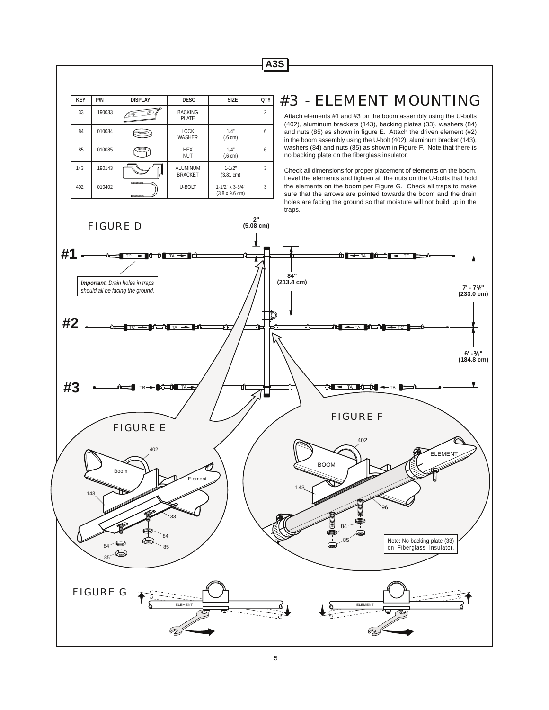| <b>KEY</b> | P/N    | <b>DISPLAY</b> | <b>DESC</b>                  | <b>SIZE</b>                                            | <b>QTY</b> |
|------------|--------|----------------|------------------------------|--------------------------------------------------------|------------|
| 33         | 190033 |                | <b>BACKING</b><br>PI ATF     |                                                        | 2          |
| 84         | 010084 |                | <b>LOCK</b><br><b>WASHER</b> | 1/4"<br>$(.6 \text{ cm})$                              | 6          |
| 85         | 010085 |                | <b>HEX</b><br><b>NUT</b>     | 1/4"<br>$(.6 \text{ cm})$                              | 6          |
| 143        | 190143 |                | ALUMINUM<br><b>BRACKET</b>   | $1 - 1/2"$<br>(3.81 cm)                                | 3          |
| 402        | 010402 | "<br>mmmm      | U-BOLT                       | $1-1/2$ " x $3-3/4$ "<br>$(3.8 \times 9.6 \text{ cm})$ | 3          |

# #3 - ELEMENT MOUNTING

Attach elements #1 and #3 on the boom assembly using the U-bolts (402), aluminum brackets (143), backing plates (33), washers (84) and nuts (85) as shown in figure E. Attach the driven element (#2) in the boom assembly using the U-bolt (402), aluminum bracket (143), washers (84) and nuts (85) as shown in Figure F. Note that there is no backing plate on the fiberglass insulator.

Check all dimensions for proper placement of elements on the boom. Level the elements and tighten all the nuts on the U-bolts that hold the elements on the boom per Figure G. Check all traps to make sure that the arrows are pointed towards the boom and the drain holes are facing the ground so that moisture will not build up in the traps.

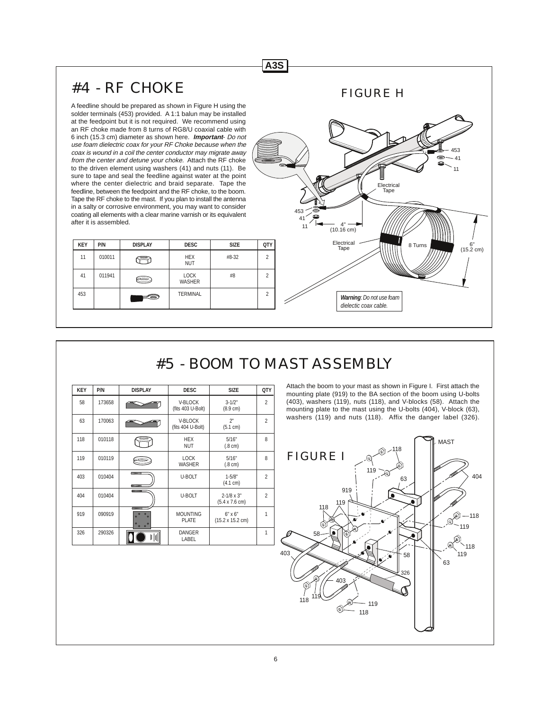### 6

# #4 - RF CHOKE

A feedline should be prepared as shown in Figure H using the solder terminals (453) provided. A 1:1 balun may be installed at the feedpoint but it is not required. We recommend using an RF choke made from 8 turns of RG8/U coaxial cable with 6 inch (15.3 cm) diameter as shown here. **Important**- Do not use foam dielectric coax for your RF Choke because when the coax is wound in a coil the center conductor may migrate away from the center and detune your choke. Attach the RF choke to the driven element using washers (41) and nuts (11). Be sure to tape and seal the feedline against water at the point where the center dielectric and braid separate. Tape the feedline, between the feedpoint and the RF choke, to the boom. Tape the RF choke to the mast. If you plan to install the antenna in a salty or corrosive environment, you may want to consider coating all elements with a clear marine varnish or its equivalent after it is assembled.

| <b>KEY</b> | P/N    | <b>DISPLAY</b> | <b>DESC</b>                  | <b>SIZE</b> | <b>QTY</b>     |
|------------|--------|----------------|------------------------------|-------------|----------------|
| 11         | 010011 |                | <b>HEX</b><br><b>NUT</b>     | #8-32       | $\mathfrak{p}$ |
| 41         | 011941 |                | <b>LOCK</b><br><b>WASHER</b> | #8          | $\mathfrak{p}$ |
| 453        |        | っ              | <b>TERMINAL</b>              |             | $\mathfrak{p}$ |

## 453 453  $6"$ (15.2 cm) — 4" —<br>(10.16 cm) 41 8 Turns 11 41 11 Electrical Tape *Warning*: *Do not use foam dielectic coax cable.* Electrical Tape

## #5 - BOOM TO MAST ASSEMBLY

**A3S**

| <b>KEY</b> | P/N    | <b>DISPLAY</b>                                                                                 | <b>DESC</b>                     | <b>SIZE</b>                                          | <b>QTY</b>               |
|------------|--------|------------------------------------------------------------------------------------------------|---------------------------------|------------------------------------------------------|--------------------------|
| 58         | 173658 |                                                                                                | V-BLOCK<br>(fits 403 U-Bolt)    | $3 - 1/2"$<br>$(8.9 \text{ cm})$                     | $\mathfrak{p}$           |
| 63         | 170063 |                                                                                                | V-BLOCK<br>(fits 404 U-Bolt)    | 2"<br>(5.1 cm)                                       | $\overline{2}$           |
| 118        | 010118 |                                                                                                | <b>HEX</b><br><b>NUT</b>        | 5/16"<br>$(.8 \text{ cm})$                           | 8                        |
| 119        | 010119 |                                                                                                | <b>LOCK</b><br><b>WASHER</b>    | 5/16"<br>$(.8 \text{ cm})$                           | 8                        |
| 403        | 010404 | munu<br><b>COLORED ST</b>                                                                      | U-BOLT                          | $1 - 5/8"$<br>(4.1 cm)                               | $\mathfrak{p}$           |
| 404        | 010404 | ,,,,,,,,,,                                                                                     | U-BOLT                          | $2 - 1/8 \times 3"$<br>$(5.4 \times 7.6 \text{ cm})$ | $\overline{\phantom{a}}$ |
| 919        | 090919 | mmm<br>$\circ$<br>$\bullet$<br>$\circ$<br>$\Omega$<br>$\circ$<br>$\circ$<br>$\circ$<br>$\circ$ | <b>MOUNTING</b><br><b>PLATE</b> | $6" \times 6"$<br>$(15.2 \times 15.2 \text{ cm})$    | 1                        |
| 326        | 290326 |                                                                                                | <b>DANGER</b><br>LABEL          |                                                      | 1                        |

Attach the boom to your mast as shown in Figure I. First attach the mounting plate (919) to the BA section of the boom using U-bolts (403), washers (119), nuts (118), and V-blocks (58). Attach the mounting plate to the mast using the U-bolts (404), V-block (63), washers (119) and nuts (118). Affix the danger label (326).



FIGURE H